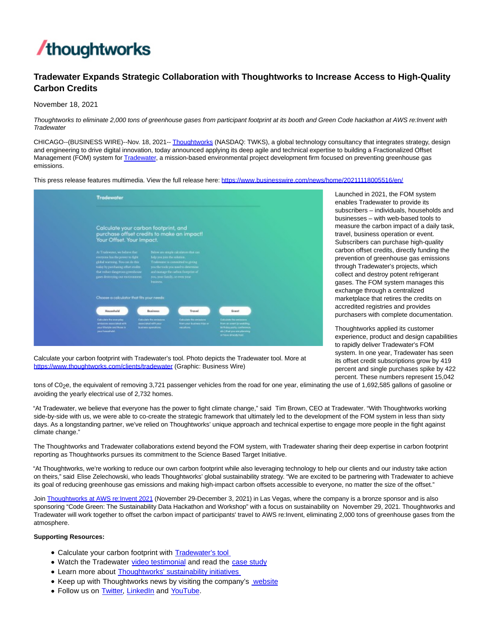

# **Tradewater Expands Strategic Collaboration with Thoughtworks to Increase Access to High-Quality Carbon Credits**

November 18, 2021

Thoughtworks to eliminate 2,000 tons of greenhouse gases from participant footprint at its booth and Green Code hackathon at AWS re:Invent with **Tradewater** 

CHICAGO--(BUSINESS WIRE)--Nov. 18, 2021-- [Thoughtworks \(](https://cts.businesswire.com/ct/CT?id=smartlink&url=http%3A%2F%2Fwww.thoughtworks.com%2F&esheet=52533486&newsitemid=20211118005516&lan=en-US&anchor=Thoughtworks&index=1&md5=1d867f7751be4ebd106beb9af89ff657)NASDAQ: TWKS), a global technology consultancy that integrates strategy, design and engineering to drive digital innovation, today announced applying its deep agile and technical expertise to building a Fractionalized Offset Management (FOM) system fo[r Tradewater,](https://cts.businesswire.com/ct/CT?id=smartlink&url=https%3A%2F%2Ftradewater.us%2F&esheet=52533486&newsitemid=20211118005516&lan=en-US&anchor=Tradewater&index=2&md5=b8e32644ebb75f25fd80e29cd67fa6ab) a mission-based environmental project development firm focused on preventing greenhouse gas emissions.

This press release features multimedia. View the full release here:<https://www.businesswire.com/news/home/20211118005516/en/>

| Tradewater                                                                                                                                                                                                                                                                                                                                                                                                                                                                      |
|---------------------------------------------------------------------------------------------------------------------------------------------------------------------------------------------------------------------------------------------------------------------------------------------------------------------------------------------------------------------------------------------------------------------------------------------------------------------------------|
| Calculate your carbon footprint, and<br>purchase offset credits to make an impact!<br>Your Offset. Your Impact.                                                                                                                                                                                                                                                                                                                                                                 |
| At Tradewater, we believe that:<br>Below are simple calculators that can<br>everyone has the power to fight<br>help you join the solution.<br>global warraing. Tou can do this<br>Tradewater is committed to giving<br>today by perchasing offset midial<br>you the tools you used to determine<br>that reduce dangerous greenhouse-<br>and minings the carbon from rist of<br>gases destroying our environment.<br>ton, year family, or even your<br>business.                 |
| Choose a calculator that fits your needs:                                                                                                                                                                                                                                                                                                                                                                                                                                       |
| Travel<br>Househald<br><b>Business</b><br>Event<br>Calculate fra margatay<br><b>Calculate the processes</b><br><b>Calculate fire peripainne.</b><br>Calculate the environment<br>from an exert (e weekling<br>amissions existiated with<br>associated with your<br>from your business friga or<br>your Weatyle and froze in<br><b>Mittiday party conference</b><br>business spendicial.<br>vecations.<br>peur hasanthald.<br>sto) that you are planning<br>or have skready had. |

Launched in 2021, the FOM system enables Tradewater to provide its subscribers – individuals, households and businesses – with web-based tools to measure the carbon impact of a daily task, travel, business operation or event. Subscribers can purchase high-quality carbon offset credits, directly funding the prevention of greenhouse gas emissions through Tradewater's projects, which collect and destroy potent refrigerant gases. The FOM system manages this exchange through a centralized marketplace that retires the credits on accredited registries and provides purchasers with complete documentation.

Thoughtworks applied its customer experience, product and design capabilities to rapidly deliver Tradewater's FOM system. In one year, Tradewater has seen its offset credit subscriptions grow by 419 percent and single purchases spike by 422 percent. These numbers represent 15,042

Calculate your carbon footprint with Tradewater's tool. Photo depicts the Tradewater tool. More at [https://www.thoughtworks.com/clients/tradewater \(](https://www.thoughtworks.com/clients/tradewater)Graphic: Business Wire)

tons of C0<sub>2</sub>e, the equivalent of removing 3,721 passenger vehicles from the road for one year, eliminating the use of 1,692,585 gallons of gasoline or avoiding the yearly electrical use of 2,732 homes.

"At Tradewater, we believe that everyone has the power to fight climate change," said Tim Brown, CEO at Tradewater. "With Thoughtworks working side-by-side with us, we were able to co-create the strategic framework that ultimately led to the development of the FOM system in less than sixty days. As a longstanding partner, we've relied on Thoughtworks' unique approach and technical expertise to engage more people in the fight against climate change."

The Thoughtworks and Tradewater collaborations extend beyond the FOM system, with Tradewater sharing their deep expertise in carbon footprint reporting as Thoughtworks pursues its commitment to the Science Based Target Initiative.

"At Thoughtworks, we're working to reduce our own carbon footprint while also leveraging technology to help our clients and our industry take action on theirs," said Elise Zelechowski, who leads Thoughtworks' global sustainability strategy. "We are excited to be partnering with Tradewater to achieve its goal of reducing greenhouse gas emissions and making high-impact carbon offsets accessible to everyone, no matter the size of the offset."

Join [Thoughtworks at AWS re:Invent 2021 \(](https://cts.businesswire.com/ct/CT?id=smartlink&url=https%3A%2F%2Fwww.thoughtworks.com%2Fen-us%2Fabout-us%2Fpartnerships%2Faws%2Freinvent&esheet=52533486&newsitemid=20211118005516&lan=en-US&anchor=Thoughtworks+at+AWS+re%3AInvent+2021&index=3&md5=626c171a8828392f5821ac007ae5330f)November 29-December 3, 2021) in Las Vegas, where the company is a bronze sponsor and is also sponsoring "Code Green: The Sustainability Data Hackathon and Workshop" with a focus on sustainability on November 29, 2021. Thoughtworks and Tradewater will work together to offset the carbon impact of participants' travel to AWS re:Invent, eliminating 2,000 tons of greenhouse gases from the atmosphere.

### **Supporting Resources:**

- Calculate your carbon footprint with **Tradewater's tool**
- Watch the Tradewater [video testimonial a](https://cts.businesswire.com/ct/CT?id=smartlink&url=https%3A%2F%2Fyoutu.be%2Fd1uoTHTQnnM&esheet=52533486&newsitemid=20211118005516&lan=en-US&anchor=video+testimonial&index=5&md5=7b87e1cae6b7cb86e4a5782787c8595e)nd read the [case study](https://cts.businesswire.com/ct/CT?id=smartlink&url=https%3A%2F%2Fwww.thoughtworks.com%2Fclients%2Ftradewater&esheet=52533486&newsitemid=20211118005516&lan=en-US&anchor=case+study&index=6&md5=ada7829f5ee15695f513bbb8c26aa961)
- Learn more about **Thoughtworks' sustainability initiatives**
- Keep up with Thoughtworks news by visiting the company's [website](https://cts.businesswire.com/ct/CT?id=smartlink&url=http%3A%2F%2Fwww.thoughtworks.com%2F&esheet=52533486&newsitemid=20211118005516&lan=en-US&anchor=website&index=8&md5=eb89fe6e5db579dd863bc62d165f7341)
- Follow us on [Twitter,](https://cts.businesswire.com/ct/CT?id=smartlink&url=https%3A%2F%2Ftwitter.com%2Fthoughtworks&esheet=52533486&newsitemid=20211118005516&lan=en-US&anchor=Twitter&index=9&md5=f7bd58b358590949e439b8c31cd1cd5e) [LinkedIn a](https://cts.businesswire.com/ct/CT?id=smartlink&url=https%3A%2F%2Fwww.linkedin.com%2Fcompany%2Fthoughtworks&esheet=52533486&newsitemid=20211118005516&lan=en-US&anchor=LinkedIn&index=10&md5=2959561f367c526f736619a0d00be5e0)nd [YouTube.](https://cts.businesswire.com/ct/CT?id=smartlink&url=https%3A%2F%2Fwww.youtube.com%2Fuser%2FThoughtWorks&esheet=52533486&newsitemid=20211118005516&lan=en-US&anchor=YouTube&index=11&md5=dd50f5a8ace0da060310b1ad37f1020e)